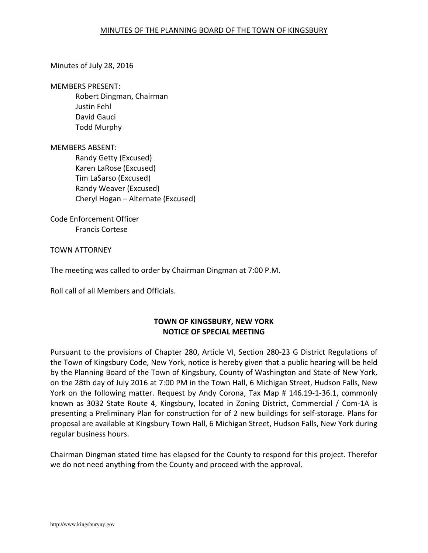### Minutes of July 28, 2016

#### MEMBERS PRESENT:

Robert Dingman, Chairman Justin Fehl David Gauci Todd Murphy

#### MEMBERS ABSENT:

Randy Getty (Excused) Karen LaRose (Excused) Tim LaSarso (Excused) Randy Weaver (Excused) Cheryl Hogan – Alternate (Excused)

Code Enforcement Officer Francis Cortese

TOWN ATTORNEY

The meeting was called to order by Chairman Dingman at 7:00 P.M.

Roll call of all Members and Officials.

# **TOWN OF KINGSBURY, NEW YORK NOTICE OF SPECIAL MEETING**

Pursuant to the provisions of Chapter 280, Article VI, Section 280-23 G District Regulations of the Town of Kingsbury Code, New York, notice is hereby given that a public hearing will be held by the Planning Board of the Town of Kingsbury, County of Washington and State of New York, on the 28th day of July 2016 at 7:00 PM in the Town Hall, 6 Michigan Street, Hudson Falls, New York on the following matter. Request by Andy Corona, Tax Map # 146.19-1-36.1, commonly known as 3032 State Route 4, Kingsbury, located in Zoning District, Commercial / Com-1A is presenting a Preliminary Plan for construction for of 2 new buildings for self-storage. Plans for proposal are available at Kingsbury Town Hall, 6 Michigan Street, Hudson Falls, New York during regular business hours.

Chairman Dingman stated time has elapsed for the County to respond for this project. Therefor we do not need anything from the County and proceed with the approval.